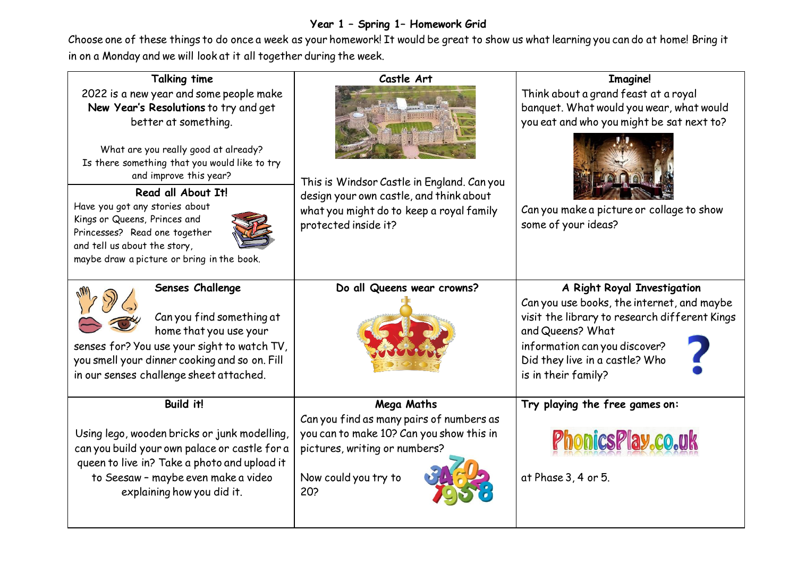## **Year 1 – Spring 1– Homework Grid**

Choose one of these things to do once a week as your homework! It would be great to show us what learning you can do at home! Bring it in on a Monday and we will look at it all together during the week.

| <b>Talking time</b>                                                                                                                                                                                                                                                                                                                                                                                                                | Castle Art                                                                                                                                                         | <b>Imagine!</b>                                                                                                                                                                                                                          |
|------------------------------------------------------------------------------------------------------------------------------------------------------------------------------------------------------------------------------------------------------------------------------------------------------------------------------------------------------------------------------------------------------------------------------------|--------------------------------------------------------------------------------------------------------------------------------------------------------------------|------------------------------------------------------------------------------------------------------------------------------------------------------------------------------------------------------------------------------------------|
| 2022 is a new year and some people make<br>New Year's Resolutions to try and get<br>better at something.<br>What are you really good at already?<br>Is there something that you would like to try<br>and improve this year?<br>Read all About It!<br>Have you got any stories about<br>Kings or Queens, Princes and<br>Princesses? Read one together<br>and tell us about the story,<br>maybe draw a picture or bring in the book. | This is Windsor Castle in England. Can you<br>design your own castle, and think about<br>what you might do to keep a royal family<br>protected inside it?          | Think about a grand feast at a royal<br>banquet. What would you wear, what would<br>you eat and who you might be sat next to?<br>Can you make a picture or collage to show<br>some of your ideas?                                        |
| Senses Challenge<br>Can you find something at<br>home that you use your<br>senses for? You use your sight to watch TV,<br>you smell your dinner cooking and so on. Fill<br>in our senses challenge sheet attached.                                                                                                                                                                                                                 | Do all Queens wear crowns?                                                                                                                                         | A Right Royal Investigation<br>Can you use books, the internet, and maybe<br>visit the library to research different Kings<br>and Queens? What<br>information can you discover?<br>Did they live in a castle? Who<br>is in their family? |
| <b>Build it!</b><br>Using lego, wooden bricks or junk modelling,<br>can you build your own palace or castle for a<br>queen to live in? Take a photo and upload it<br>to Seesaw - maybe even make a video<br>explaining how you did it.                                                                                                                                                                                             | Mega Maths<br>Can you find as many pairs of numbers as<br>you can to make 10? Can you show this in<br>pictures, writing or numbers?<br>Now could you try to<br>20? | Try playing the free games on:<br>PhonicsPlay.co.uk<br>at Phase 3, 4 or 5.                                                                                                                                                               |